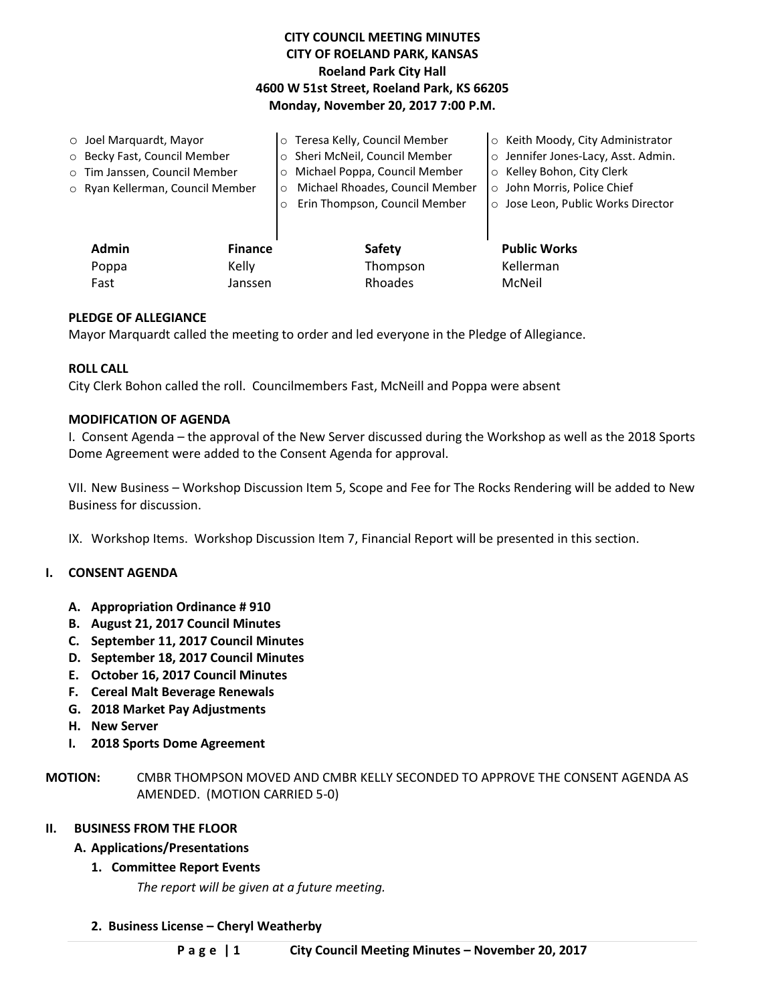# **CITY COUNCIL MEETING MINUTES CITY OF ROELAND PARK, KANSAS Roeland Park City Hall 4600 W 51st Street, Roeland Park, KS 66205 Monday, November 20, 2017 7:00 P.M.**

| $\circ$ Joel Marquardt, Mayor    |                | o Teresa Kelly, Council Member             | o Keith Moody, City Administrator   |
|----------------------------------|----------------|--------------------------------------------|-------------------------------------|
| O Becky Fast, Council Member     |                | o Sheri McNeil, Council Member             | o Jennifer Jones-Lacy, Asst. Admin. |
| o Tim Janssen, Council Member    |                | Michael Poppa, Council Member<br>$\circ$   | ○ Kelley Bohon, City Clerk          |
| ○ Ryan Kellerman, Council Member |                | Michael Rhoades, Council Member<br>$\circ$ | ○ John Morris, Police Chief         |
|                                  | $\circ$        | Erin Thompson, Council Member              | ○ Jose Leon, Public Works Director  |
|                                  |                |                                            |                                     |
| <b>Admin</b>                     | <b>Finance</b> | <b>Safety</b>                              | <b>Public Works</b>                 |
| Poppa                            | Kelly          | Thompson                                   | Kellerman                           |
| Fast                             | Janssen        | Rhoades                                    | McNeil                              |

## **PLEDGE OF ALLEGIANCE**

Mayor Marquardt called the meeting to order and led everyone in the Pledge of Allegiance.

### **ROLL CALL**

City Clerk Bohon called the roll. Councilmembers Fast, McNeill and Poppa were absent

### **MODIFICATION OF AGENDA**

I. Consent Agenda – the approval of the New Server discussed during the Workshop as well as the 2018 Sports Dome Agreement were added to the Consent Agenda for approval.

VII. New Business – Workshop Discussion Item 5, Scope and Fee for The Rocks Rendering will be added to New Business for discussion.

IX. Workshop Items. Workshop Discussion Item 7, Financial Report will be presented in this section.

### **I. CONSENT AGENDA**

- **A. Appropriation Ordinance # 910**
- **B. August 21, 2017 Council Minutes**
- **C. September 11, 2017 Council Minutes**
- **D. September 18, 2017 Council Minutes**
- **E. October 16, 2017 Council Minutes**
- **F. Cereal Malt Beverage Renewals**
- **G. 2018 Market Pay Adjustments**
- **H. New Server**
- **I. 2018 Sports Dome Agreement**

**MOTION:** CMBR THOMPSON MOVED AND CMBR KELLY SECONDED TO APPROVE THE CONSENT AGENDA AS AMENDED. (MOTION CARRIED 5-0)

### **II. BUSINESS FROM THE FLOOR**

#### **A. Applications/Presentations**

### **1. Committee Report Events**

*The report will be given at a future meeting.*

**2. Business License – Cheryl Weatherby**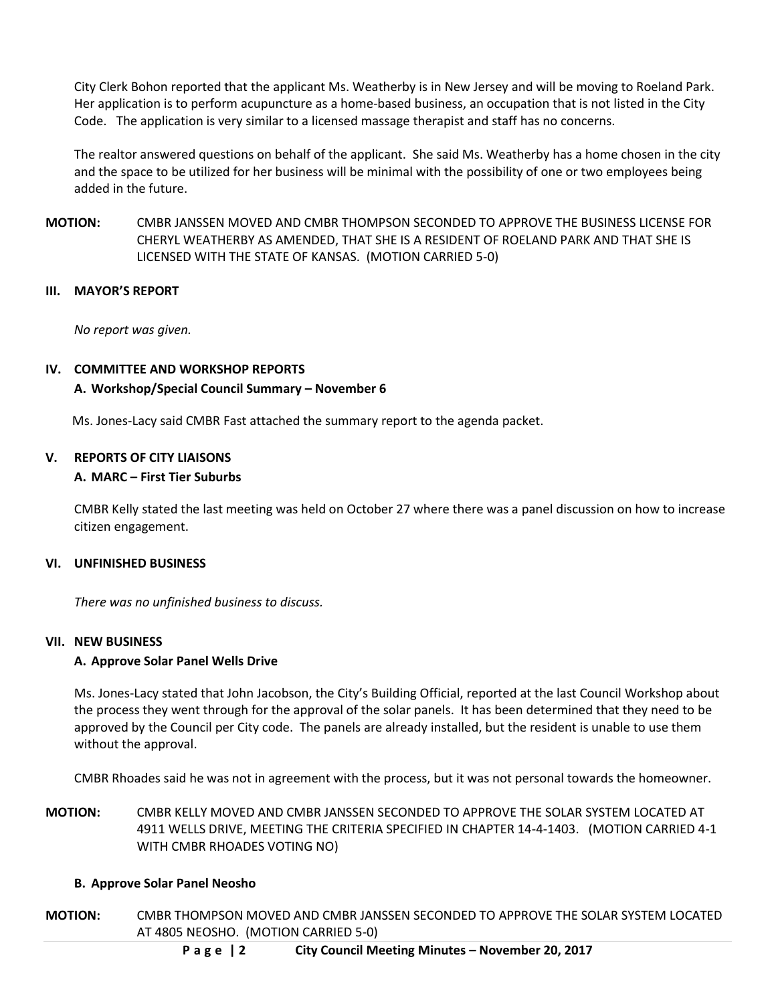City Clerk Bohon reported that the applicant Ms. Weatherby is in New Jersey and will be moving to Roeland Park. Her application is to perform acupuncture as a home-based business, an occupation that is not listed in the City Code. The application is very similar to a licensed massage therapist and staff has no concerns.

The realtor answered questions on behalf of the applicant. She said Ms. Weatherby has a home chosen in the city and the space to be utilized for her business will be minimal with the possibility of one or two employees being added in the future.

**MOTION:** CMBR JANSSEN MOVED AND CMBR THOMPSON SECONDED TO APPROVE THE BUSINESS LICENSE FOR CHERYL WEATHERBY AS AMENDED, THAT SHE IS A RESIDENT OF ROELAND PARK AND THAT SHE IS LICENSED WITH THE STATE OF KANSAS. (MOTION CARRIED 5-0)

## **III. MAYOR'S REPORT**

*No report was given.*

## **IV. COMMITTEE AND WORKSHOP REPORTS**

## **A. Workshop/Special Council Summary – November 6**

Ms. Jones-Lacy said CMBR Fast attached the summary report to the agenda packet.

### **V. REPORTS OF CITY LIAISONS**

## **A. MARC – First Tier Suburbs**

CMBR Kelly stated the last meeting was held on October 27 where there was a panel discussion on how to increase citizen engagement.

### **VI. UNFINISHED BUSINESS**

*There was no unfinished business to discuss.*

### **VII. NEW BUSINESS**

### **A. Approve Solar Panel Wells Drive**

Ms. Jones-Lacy stated that John Jacobson, the City's Building Official, reported at the last Council Workshop about the process they went through for the approval of the solar panels. It has been determined that they need to be approved by the Council per City code. The panels are already installed, but the resident is unable to use them without the approval.

CMBR Rhoades said he was not in agreement with the process, but it was not personal towards the homeowner.

**MOTION:** CMBR KELLY MOVED AND CMBR JANSSEN SECONDED TO APPROVE THE SOLAR SYSTEM LOCATED AT 4911 WELLS DRIVE, MEETING THE CRITERIA SPECIFIED IN CHAPTER 14-4-1403. (MOTION CARRIED 4-1 WITH CMBR RHOADES VOTING NO)

### **B. Approve Solar Panel Neosho**

**MOTION:** CMBR THOMPSON MOVED AND CMBR JANSSEN SECONDED TO APPROVE THE SOLAR SYSTEM LOCATED AT 4805 NEOSHO. (MOTION CARRIED 5-0)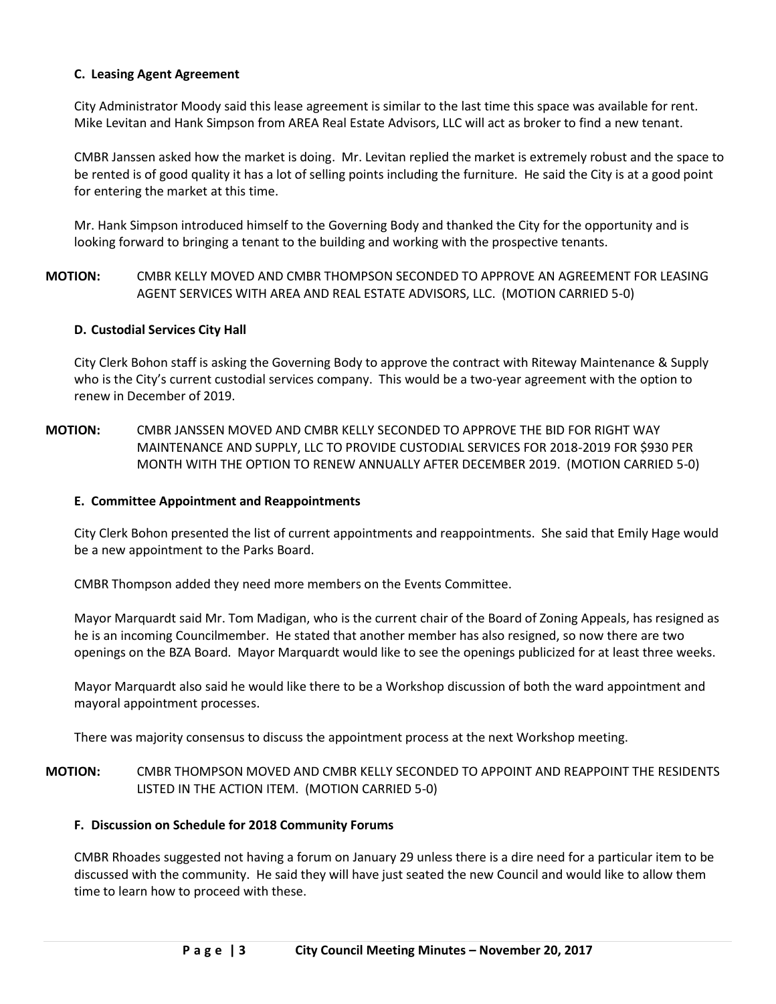### **C. Leasing Agent Agreement**

City Administrator Moody said this lease agreement is similar to the last time this space was available for rent. Mike Levitan and Hank Simpson from AREA Real Estate Advisors, LLC will act as broker to find a new tenant.

CMBR Janssen asked how the market is doing. Mr. Levitan replied the market is extremely robust and the space to be rented is of good quality it has a lot of selling points including the furniture. He said the City is at a good point for entering the market at this time.

Mr. Hank Simpson introduced himself to the Governing Body and thanked the City for the opportunity and is looking forward to bringing a tenant to the building and working with the prospective tenants.

## **MOTION:** CMBR KELLY MOVED AND CMBR THOMPSON SECONDED TO APPROVE AN AGREEMENT FOR LEASING AGENT SERVICES WITH AREA AND REAL ESTATE ADVISORS, LLC. (MOTION CARRIED 5-0)

### **D. Custodial Services City Hall**

City Clerk Bohon staff is asking the Governing Body to approve the contract with Riteway Maintenance & Supply who is the City's current custodial services company. This would be a two-year agreement with the option to renew in December of 2019.

## **MOTION:** CMBR JANSSEN MOVED AND CMBR KELLY SECONDED TO APPROVE THE BID FOR RIGHT WAY MAINTENANCE AND SUPPLY, LLC TO PROVIDE CUSTODIAL SERVICES FOR 2018-2019 FOR \$930 PER MONTH WITH THE OPTION TO RENEW ANNUALLY AFTER DECEMBER 2019. (MOTION CARRIED 5-0)

### **E. Committee Appointment and Reappointments**

City Clerk Bohon presented the list of current appointments and reappointments. She said that Emily Hage would be a new appointment to the Parks Board.

CMBR Thompson added they need more members on the Events Committee.

Mayor Marquardt said Mr. Tom Madigan, who is the current chair of the Board of Zoning Appeals, has resigned as he is an incoming Councilmember. He stated that another member has also resigned, so now there are two openings on the BZA Board. Mayor Marquardt would like to see the openings publicized for at least three weeks.

Mayor Marquardt also said he would like there to be a Workshop discussion of both the ward appointment and mayoral appointment processes.

There was majority consensus to discuss the appointment process at the next Workshop meeting.

## **MOTION:** CMBR THOMPSON MOVED AND CMBR KELLY SECONDED TO APPOINT AND REAPPOINT THE RESIDENTS LISTED IN THE ACTION ITEM. (MOTION CARRIED 5-0)

### **F. Discussion on Schedule for 2018 Community Forums**

CMBR Rhoades suggested not having a forum on January 29 unless there is a dire need for a particular item to be discussed with the community. He said they will have just seated the new Council and would like to allow them time to learn how to proceed with these.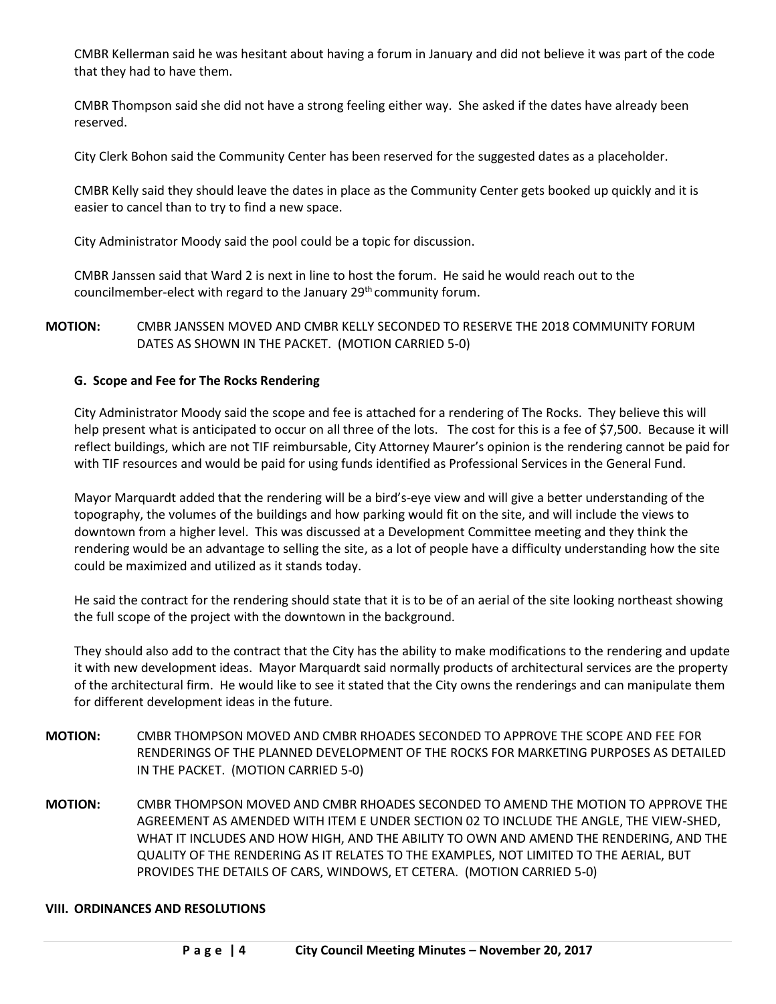CMBR Kellerman said he was hesitant about having a forum in January and did not believe it was part of the code that they had to have them.

CMBR Thompson said she did not have a strong feeling either way. She asked if the dates have already been reserved.

City Clerk Bohon said the Community Center has been reserved for the suggested dates as a placeholder.

CMBR Kelly said they should leave the dates in place as the Community Center gets booked up quickly and it is easier to cancel than to try to find a new space.

City Administrator Moody said the pool could be a topic for discussion.

CMBR Janssen said that Ward 2 is next in line to host the forum. He said he would reach out to the councilmember-elect with regard to the January 29<sup>th</sup> community forum.

## **MOTION:** CMBR JANSSEN MOVED AND CMBR KELLY SECONDED TO RESERVE THE 2018 COMMUNITY FORUM DATES AS SHOWN IN THE PACKET. (MOTION CARRIED 5-0)

## **G. Scope and Fee for The Rocks Rendering**

City Administrator Moody said the scope and fee is attached for a rendering of The Rocks. They believe this will help present what is anticipated to occur on all three of the lots. The cost for this is a fee of \$7,500. Because it will reflect buildings, which are not TIF reimbursable, City Attorney Maurer's opinion is the rendering cannot be paid for with TIF resources and would be paid for using funds identified as Professional Services in the General Fund.

Mayor Marquardt added that the rendering will be a bird's-eye view and will give a better understanding of the topography, the volumes of the buildings and how parking would fit on the site, and will include the views to downtown from a higher level. This was discussed at a Development Committee meeting and they think the rendering would be an advantage to selling the site, as a lot of people have a difficulty understanding how the site could be maximized and utilized as it stands today.

He said the contract for the rendering should state that it is to be of an aerial of the site looking northeast showing the full scope of the project with the downtown in the background.

They should also add to the contract that the City has the ability to make modifications to the rendering and update it with new development ideas. Mayor Marquardt said normally products of architectural services are the property of the architectural firm. He would like to see it stated that the City owns the renderings and can manipulate them for different development ideas in the future.

- **MOTION:** CMBR THOMPSON MOVED AND CMBR RHOADES SECONDED TO APPROVE THE SCOPE AND FEE FOR RENDERINGS OF THE PLANNED DEVELOPMENT OF THE ROCKS FOR MARKETING PURPOSES AS DETAILED IN THE PACKET. (MOTION CARRIED 5-0)
- **MOTION:** CMBR THOMPSON MOVED AND CMBR RHOADES SECONDED TO AMEND THE MOTION TO APPROVE THE AGREEMENT AS AMENDED WITH ITEM E UNDER SECTION 02 TO INCLUDE THE ANGLE, THE VIEW-SHED, WHAT IT INCLUDES AND HOW HIGH, AND THE ABILITY TO OWN AND AMEND THE RENDERING, AND THE QUALITY OF THE RENDERING AS IT RELATES TO THE EXAMPLES, NOT LIMITED TO THE AERIAL, BUT PROVIDES THE DETAILS OF CARS, WINDOWS, ET CETERA. (MOTION CARRIED 5-0)

### **VIII. ORDINANCES AND RESOLUTIONS**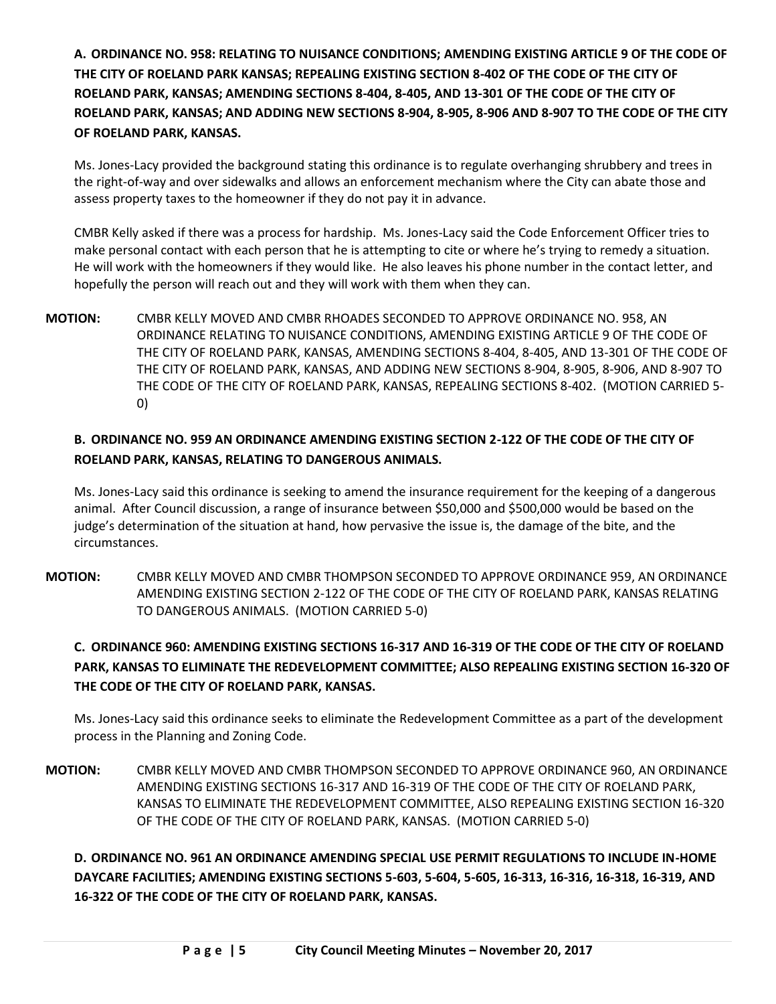**A. ORDINANCE NO. 958: RELATING TO NUISANCE CONDITIONS; AMENDING EXISTING ARTICLE 9 OF THE CODE OF THE CITY OF ROELAND PARK KANSAS; REPEALING EXISTING SECTION 8-402 OF THE CODE OF THE CITY OF ROELAND PARK, KANSAS; AMENDING SECTIONS 8-404, 8-405, AND 13-301 OF THE CODE OF THE CITY OF ROELAND PARK, KANSAS; AND ADDING NEW SECTIONS 8-904, 8-905, 8-906 AND 8-907 TO THE CODE OF THE CITY OF ROELAND PARK, KANSAS.**

Ms. Jones-Lacy provided the background stating this ordinance is to regulate overhanging shrubbery and trees in the right-of-way and over sidewalks and allows an enforcement mechanism where the City can abate those and assess property taxes to the homeowner if they do not pay it in advance.

CMBR Kelly asked if there was a process for hardship. Ms. Jones-Lacy said the Code Enforcement Officer tries to make personal contact with each person that he is attempting to cite or where he's trying to remedy a situation. He will work with the homeowners if they would like. He also leaves his phone number in the contact letter, and hopefully the person will reach out and they will work with them when they can.

**MOTION:** CMBR KELLY MOVED AND CMBR RHOADES SECONDED TO APPROVE ORDINANCE NO. 958, AN ORDINANCE RELATING TO NUISANCE CONDITIONS, AMENDING EXISTING ARTICLE 9 OF THE CODE OF THE CITY OF ROELAND PARK, KANSAS, AMENDING SECTIONS 8-404, 8-405, AND 13-301 OF THE CODE OF THE CITY OF ROELAND PARK, KANSAS, AND ADDING NEW SECTIONS 8-904, 8-905, 8-906, AND 8-907 TO THE CODE OF THE CITY OF ROELAND PARK, KANSAS, REPEALING SECTIONS 8-402. (MOTION CARRIED 5- 0)

# **B. ORDINANCE NO. 959 AN ORDINANCE AMENDING EXISTING SECTION 2-122 OF THE CODE OF THE CITY OF ROELAND PARK, KANSAS, RELATING TO DANGEROUS ANIMALS.**

Ms. Jones-Lacy said this ordinance is seeking to amend the insurance requirement for the keeping of a dangerous animal. After Council discussion, a range of insurance between \$50,000 and \$500,000 would be based on the judge's determination of the situation at hand, how pervasive the issue is, the damage of the bite, and the circumstances.

**MOTION:** CMBR KELLY MOVED AND CMBR THOMPSON SECONDED TO APPROVE ORDINANCE 959, AN ORDINANCE AMENDING EXISTING SECTION 2-122 OF THE CODE OF THE CITY OF ROELAND PARK, KANSAS RELATING TO DANGEROUS ANIMALS. (MOTION CARRIED 5-0)

# **C. ORDINANCE 960: AMENDING EXISTING SECTIONS 16-317 AND 16-319 OF THE CODE OF THE CITY OF ROELAND PARK, KANSAS TO ELIMINATE THE REDEVELOPMENT COMMITTEE; ALSO REPEALING EXISTING SECTION 16-320 OF THE CODE OF THE CITY OF ROELAND PARK, KANSAS.**

Ms. Jones-Lacy said this ordinance seeks to eliminate the Redevelopment Committee as a part of the development process in the Planning and Zoning Code.

**MOTION:** CMBR KELLY MOVED AND CMBR THOMPSON SECONDED TO APPROVE ORDINANCE 960, AN ORDINANCE AMENDING EXISTING SECTIONS 16-317 AND 16-319 OF THE CODE OF THE CITY OF ROELAND PARK, KANSAS TO ELIMINATE THE REDEVELOPMENT COMMITTEE, ALSO REPEALING EXISTING SECTION 16-320 OF THE CODE OF THE CITY OF ROELAND PARK, KANSAS. (MOTION CARRIED 5-0)

**D. ORDINANCE NO. 961 AN ORDINANCE AMENDING SPECIAL USE PERMIT REGULATIONS TO INCLUDE IN-HOME DAYCARE FACILITIES; AMENDING EXISTING SECTIONS 5-603, 5-604, 5-605, 16-313, 16-316, 16-318, 16-319, AND 16-322 OF THE CODE OF THE CITY OF ROELAND PARK, KANSAS.**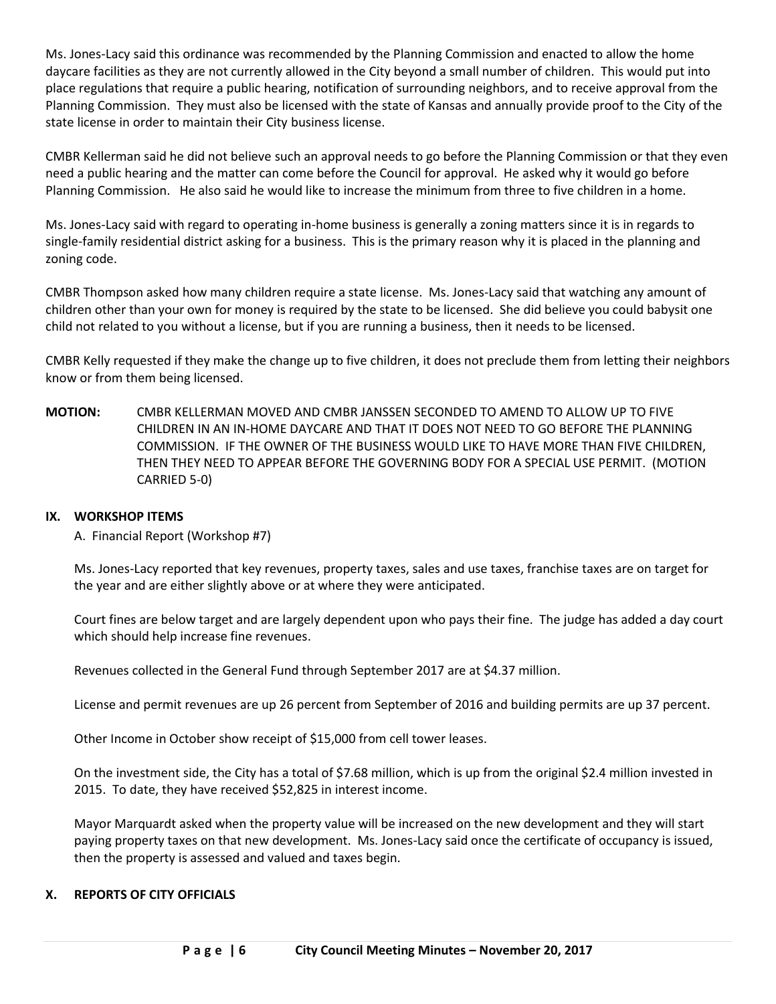Ms. Jones-Lacy said this ordinance was recommended by the Planning Commission and enacted to allow the home daycare facilities as they are not currently allowed in the City beyond a small number of children. This would put into place regulations that require a public hearing, notification of surrounding neighbors, and to receive approval from the Planning Commission. They must also be licensed with the state of Kansas and annually provide proof to the City of the state license in order to maintain their City business license.

CMBR Kellerman said he did not believe such an approval needs to go before the Planning Commission or that they even need a public hearing and the matter can come before the Council for approval. He asked why it would go before Planning Commission. He also said he would like to increase the minimum from three to five children in a home.

Ms. Jones-Lacy said with regard to operating in-home business is generally a zoning matters since it is in regards to single-family residential district asking for a business. This is the primary reason why it is placed in the planning and zoning code.

CMBR Thompson asked how many children require a state license. Ms. Jones-Lacy said that watching any amount of children other than your own for money is required by the state to be licensed. She did believe you could babysit one child not related to you without a license, but if you are running a business, then it needs to be licensed.

CMBR Kelly requested if they make the change up to five children, it does not preclude them from letting their neighbors know or from them being licensed.

**MOTION:** CMBR KELLERMAN MOVED AND CMBR JANSSEN SECONDED TO AMEND TO ALLOW UP TO FIVE CHILDREN IN AN IN-HOME DAYCARE AND THAT IT DOES NOT NEED TO GO BEFORE THE PLANNING COMMISSION. IF THE OWNER OF THE BUSINESS WOULD LIKE TO HAVE MORE THAN FIVE CHILDREN, THEN THEY NEED TO APPEAR BEFORE THE GOVERNING BODY FOR A SPECIAL USE PERMIT. (MOTION CARRIED 5-0)

### **IX. WORKSHOP ITEMS**

A. Financial Report (Workshop #7)

Ms. Jones-Lacy reported that key revenues, property taxes, sales and use taxes, franchise taxes are on target for the year and are either slightly above or at where they were anticipated.

Court fines are below target and are largely dependent upon who pays their fine. The judge has added a day court which should help increase fine revenues.

Revenues collected in the General Fund through September 2017 are at \$4.37 million.

License and permit revenues are up 26 percent from September of 2016 and building permits are up 37 percent.

Other Income in October show receipt of \$15,000 from cell tower leases.

On the investment side, the City has a total of \$7.68 million, which is up from the original \$2.4 million invested in 2015. To date, they have received \$52,825 in interest income.

Mayor Marquardt asked when the property value will be increased on the new development and they will start paying property taxes on that new development. Ms. Jones-Lacy said once the certificate of occupancy is issued, then the property is assessed and valued and taxes begin.

## **X. REPORTS OF CITY OFFICIALS**